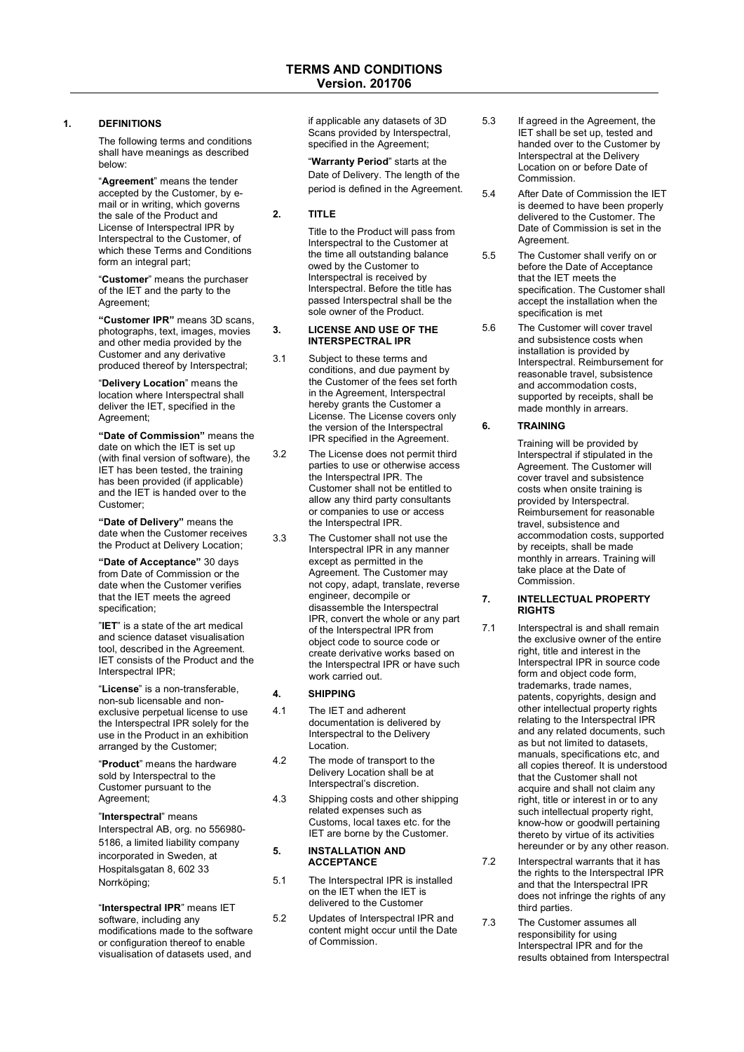## **1. DEFINITIONS**

The following terms and conditions shall have meanings as described below:

"**Agreement**" means the tender accepted by the Customer, by email or in writing, which governs the sale of the Product and License of Interspectral IPR by Interspectral to the Customer, of which these Terms and Conditions form an integral part;

"**Customer**" means the purchaser of the IET and the party to the Agreement;

**"Customer IPR"** means 3D scans, photographs, text, images, movies and other media provided by the Customer and any derivative produced thereof by Interspectral;

"**Delivery Location**" means the location where Interspectral shall deliver the IET, specified in the Agreement;

**"Date of Commission"** means the date on which the IET is set up (with final version of software), the IET has been tested, the training has been provided (if applicable) and the IET is handed over to the Customer;

**"Date of Delivery"** means the date when the Customer receives the Product at Delivery Location;

**"Date of Acceptance"** 30 days from Date of Commission or the date when the Customer verifies that the IET meets the agreed specification;

"**IET**" is a state of the art medical and science dataset visualisation tool, described in the Agreement. IET consists of the Product and the Interspectral IPR;

"**License**" is a non-transferable, non-sub licensable and nonexclusive perpetual license to use the Interspectral IPR solely for the use in the Product in an exhibition arranged by the Customer;

"**Product**" means the hardware sold by Interspectral to the Customer pursuant to the Agreement;

"**Interspectral**" means Interspectral AB, org. no 556980- 5186, a limited liability company incorporated in Sweden, at Hospitalsgatan 8, 602 33 Norrköping;

"**Interspectral IPR**" means IET software, including any modifications made to the software or configuration thereof to enable visualisation of datasets used, and

if applicable any datasets of 3D Scans provided by Interspectral, specified in the Agreement;

"**Warranty Period**" starts at the Date of Delivery. The length of the period is defined in the Agreement.

# **2. TITLE**

Title to the Product will pass from Interspectral to the Customer at the time all outstanding balance owed by the Customer to Interspectral is received by Interspectral. Before the title has passed Interspectral shall be the sole owner of the Product.

## **3. LICENSE AND USE OF THE INTERSPECTRAL IPR**

- 3.1 Subject to these terms and conditions, and due payment by the Customer of the fees set forth in the Agreement, Interspectral hereby grants the Customer a License. The License covers only the version of the Interspectral IPR specified in the Agreement.
- 3.2 The License does not permit third parties to use or otherwise access .<br>the Interspectral IPR. The Customer shall not be entitled to allow any third party consultants or companies to use or access the Interspectral IPR.
- 3.3 The Customer shall not use the Interspectral IPR in any manner except as permitted in the Agreement. The Customer may not copy, adapt, translate, reverse engineer, decompile or disassemble the Interspectral IPR, convert the whole or any part of the Interspectral IPR from object code to source code or create derivative works based on the Interspectral IPR or have such work carried out.

# **4. SHIPPING**

- 4.1 The IET and adherent documentation is delivered by Interspectral to the Delivery Location.
- 4.2 The mode of transport to the Delivery Location shall be at Interspectral's discretion.
- 4.3 Shipping costs and other shipping related expenses such as Customs, local taxes etc. for the IET are borne by the Customer.

## **5. INSTALLATION AND ACCEPTANCE**

- 5.1 The Interspectral IPR is installed on the IET when the IET is delivered to the Customer
- 5.2 Updates of Interspectral IPR and content might occur until the Date of Commission.
- 5.3 If agreed in the Agreement, the IET shall be set up, tested and handed over to the Customer by Interspectral at the Delivery Location on or before Date of Commission.
- 5.4 After Date of Commission the IET is deemed to have been properly delivered to the Customer. The Date of Commission is set in the Agreement.
- 5.5 The Customer shall verify on or before the Date of Acceptance that the IET meets the specification. The Customer shall accept the installation when the specification is met
- 5.6 The Customer will cover travel and subsistence costs when installation is provided by Interspectral. Reimbursement for reasonable travel, subsistence and accommodation costs, supported by receipts, shall be made monthly in arrears.

# **6. TRAINING**

Training will be provided by Interspectral if stipulated in the Agreement. The Customer will cover travel and subsistence costs when onsite training is provided by Interspectral. Reimbursement for reasonable travel, subsistence and accommodation costs, supported by receipts, shall be made monthly in arrears. Training will take place at the Date of Commission.

#### **7. INTELLECTUAL PROPERTY RIGHTS**

- 7.1 Interspectral is and shall remain the exclusive owner of the entire right, title and interest in the Interspectral IPR in source code form and object code form, trademarks, trade names, patents, copyrights, design and other intellectual property rights relating to the Interspectral IPR and any related documents, such as but not limited to datasets, manuals, specifications etc, and all copies thereof. It is understood that the Customer shall not acquire and shall not claim any right, title or interest in or to any such intellectual property right. know-how or goodwill pertaining thereto by virtue of its activities hereunder or by any other reason.
- 7.2 Interspectral warrants that it has the rights to the Interspectral IPR and that the Interspectral IPR does not infringe the rights of any third parties.
- 7.3 The Customer assumes all responsibility for using Interspectral IPR and for the results obtained from Interspectral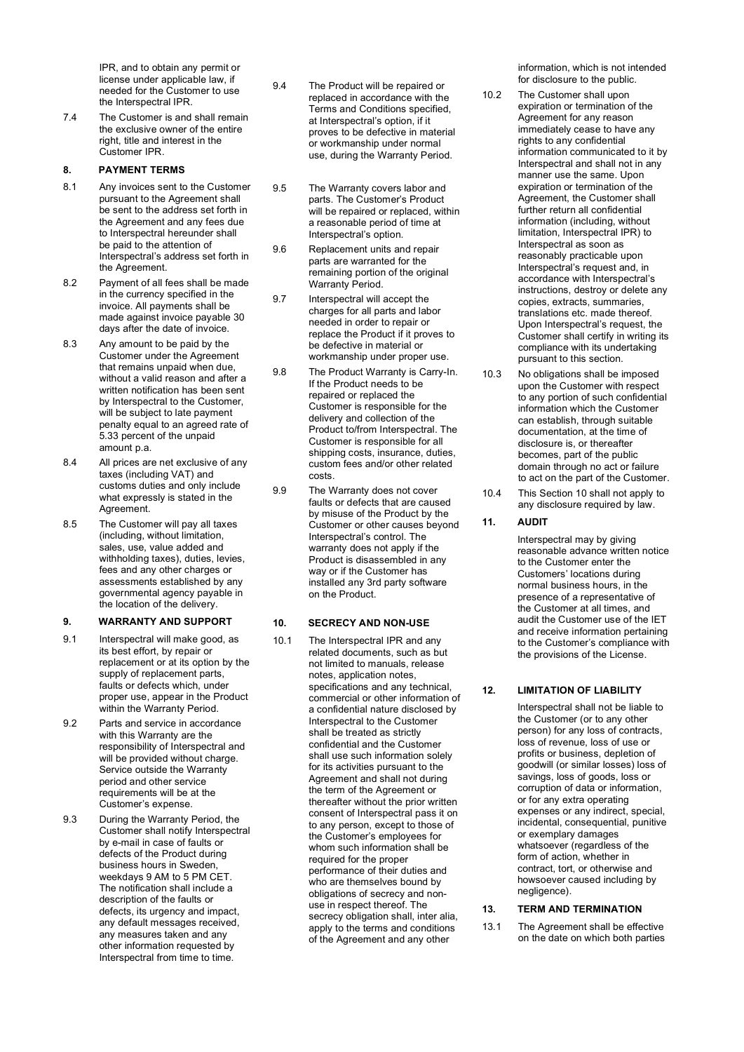IPR, and to obtain any permit or license under applicable law, if needed for the Customer to use the Interspectral IPR.

7.4 The Customer is and shall remain the exclusive owner of the entire right, title and interest in the Customer IPR.

## **8. PAYMENT TERMS**

- 8.1 Any invoices sent to the Customer pursuant to the Agreement shall be sent to the address set forth in the Agreement and any fees due to Interspectral hereunder shall be paid to the attention of Interspectral's address set forth in the Agreement.
- 8.2 Payment of all fees shall be made in the currency specified in the invoice. All payments shall be made against invoice payable 30 days after the date of invoice.
- 8.3 Any amount to be paid by the Customer under the Agreement that remains unpaid when due, without a valid reason and after a written notification has been sent by Interspectral to the Customer. will be subject to late payment penalty equal to an agreed rate of 5.33 percent of the unpaid amount p.a.
- 8.4 All prices are net exclusive of any taxes (including VAT) and customs duties and only include what expressly is stated in the Agreement.
- 8.5 The Customer will pay all taxes (including, without limitation, sales, use, value added and withholding taxes), duties, levies, fees and any other charges or assessments established by any governmental agency payable in the location of the delivery.

# **9. WARRANTY AND SUPPORT**

- 9.1 Interspectral will make good, as its best effort, by repair or replacement or at its option by the supply of replacement parts, faults or defects which, under proper use, appear in the Product within the Warranty Period.
- 9.2 Parts and service in accordance with this Warranty are the responsibility of Interspectral and will be provided without charge. Service outside the Warranty period and other service requirements will be at the Customer's expense.
- 9.3 During the Warranty Period, the Customer shall notify Interspectral by e-mail in case of faults or defects of the Product during business hours in Sweden, weekdays 9 AM to 5 PM CET. The notification shall include a description of the faults or defects, its urgency and impact, any default messages received, any measures taken and any other information requested by Interspectral from time to time.

9.4 The Product will be repaired or replaced in accordance with the Terms and Conditions specified, at Interspectral's option, if it proves to be defective in material or workmanship under normal use, during the Warranty Period.

- 9.5 The Warranty covers labor and parts. The Customer's Product will be repaired or replaced, within a reasonable period of time at Interspectral's option.
- 9.6 Replacement units and repair parts are warranted for the remaining portion of the original Warranty Period.
- 9.7 Interspectral will accept the charges for all parts and labor needed in order to repair or replace the Product if it proves to be defective in material or workmanship under proper use.
- 9.8 The Product Warranty is Carry-In. If the Product needs to be repaired or replaced the Customer is responsible for the delivery and collection of the Product to/from Interspectral. The Customer is responsible for all shipping costs, insurance, duties, custom fees and/or other related costs.
- 9.9 The Warranty does not cover faults or defects that are caused by misuse of the Product by the Customer or other causes beyond Interspectral's control. The warranty does not apply if the Product is disassembled in any way or if the Customer has installed any 3rd party software on the Product.

## **10. SECRECY AND NON-USE**

10.1 The Interspectral IPR and any related documents, such as but not limited to manuals, release notes, application notes, specifications and any technical, commercial or other information of a confidential nature disclosed by Interspectral to the Customer shall be treated as strictly confidential and the Customer shall use such information solely for its activities pursuant to the Agreement and shall not during the term of the Agreement or thereafter without the prior written consent of Interspectral pass it on to any person, except to those of the Customer's employees for whom such information shall be required for the proper performance of their duties and who are themselves bound by obligations of secrecy and nonuse in respect thereof. The secrecy obligation shall, inter alia, apply to the terms and conditions of the Agreement and any other

information, which is not intended for disclosure to the public.

- 10.2 The Customer shall upon expiration or termination of the Agreement for any reason immediately cease to have any rights to any confidential information communicated to it by Interspectral and shall not in any manner use the same. Upon expiration or termination of the Agreement, the Customer shall further return all confidential information (including, without limitation, Interspectral IPR) to Interspectral as soon as reasonably practicable upon Interspectral's request and, in accordance with Interspectral's instructions, destroy or delete any copies, extracts, summaries, translations etc. made thereof. Upon Interspectral's request, the Customer shall certify in writing its compliance with its undertaking pursuant to this section.
- 10.3 No obligations shall be imposed upon the Customer with respect to any portion of such confidential information which the Customer can establish, through suitable documentation, at the time of disclosure is, or thereafter becomes, part of the public domain through no act or failure to act on the part of the Customer.
- 10.4 This Section 10 shall not apply to any disclosure required by law.

#### **11. AUDIT**

Interspectral may by giving reasonable advance written notice to the Customer enter the Customers' locations during normal business hours, in the presence of a representative of the Customer at all times, and audit the Customer use of the IET and receive information pertaining to the Customer's compliance with the provisions of the License.

# **12. LIMITATION OF LIABILITY**

Interspectral shall not be liable to the Customer (or to any other person) for any loss of contracts, loss of revenue, loss of use or profits or business, depletion of goodwill (or similar losses) loss of savings, loss of goods, loss or corruption of data or information, or for any extra operating expenses or any indirect, special, incidental, consequential, punitive or exemplary damages whatsoever (regardless of the form of action, whether in contract, tort, or otherwise and howsoever caused including by negligence).

## **13. TERM AND TERMINATION**

13.1 The Agreement shall be effective on the date on which both parties